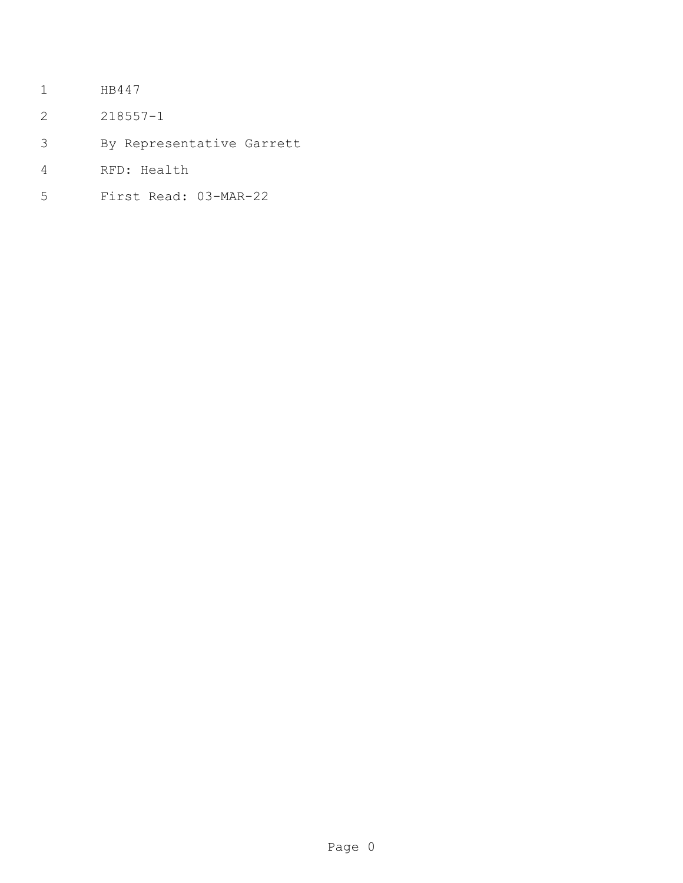- HB447
- 218557-1
- By Representative Garrett
- RFD: Health
- First Read: 03-MAR-22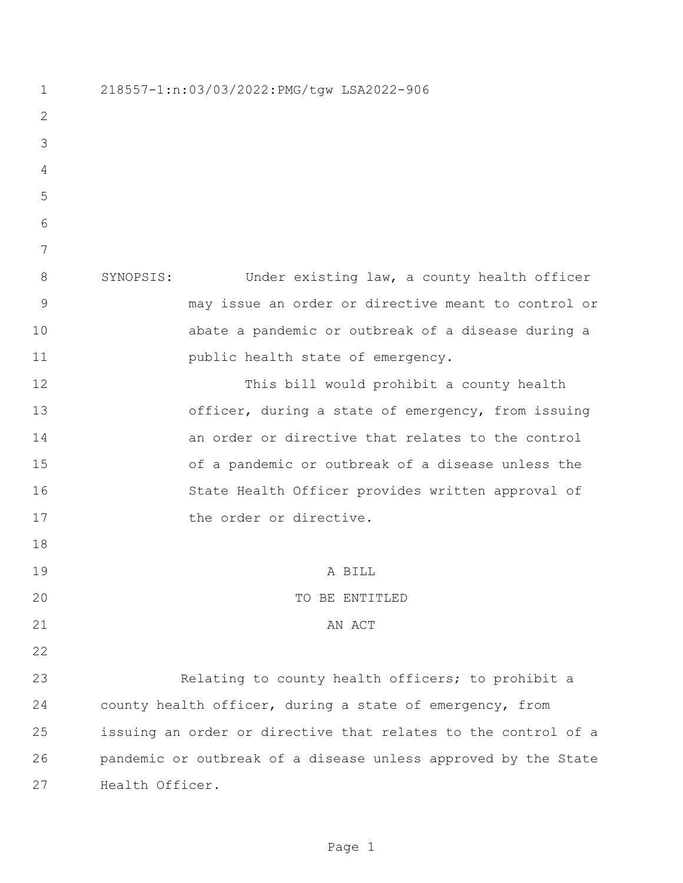218557-1:n:03/03/2022:PMG/tgw LSA2022-906 SYNOPSIS: Under existing law, a county health officer may issue an order or directive meant to control or abate a pandemic or outbreak of a disease during a **public health state of emergency.**  This bill would prohibit a county health officer, during a state of emergency, from issuing an order or directive that relates to the control of a pandemic or outbreak of a disease unless the State Health Officer provides written approval of 17 the order or directive. A BILL 20 TO BE ENTITLED 21 AN ACT Relating to county health officers; to prohibit a county health officer, during a state of emergency, from issuing an order or directive that relates to the control of a pandemic or outbreak of a disease unless approved by the State Health Officer.